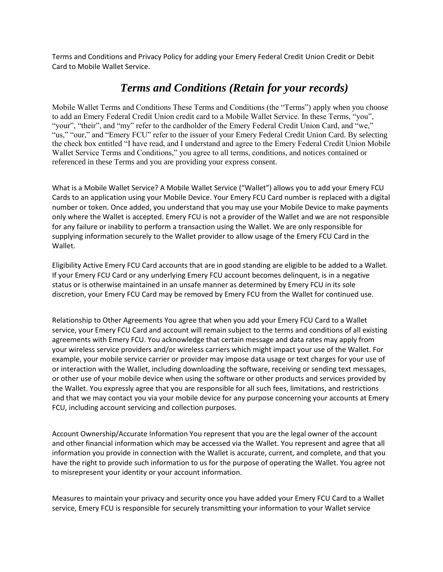Terms and Conditions and Privacy Policy for adding your Emery Federal Credit Union Credit or Debit Card to Mobile Wallet Service.

## *Terms and Conditions (Retain for your records)*

Mobile Wallet Terms and Conditions These Terms and Conditions (the "Terms") apply when you choose to add an Emery Federal Credit Union credit card to a Mobile Wallet Service. In these Terms, "you", "your", "their", and "my" refer to the cardholder of the Emery Federal Credit Union Card, and "we," "us," "our," and "Emery FCU" refer to the issuer of your Emery Federal Credit Union Card. By selecting the check box entitled "I have read, and I understand and agree to the Emery Federal Credit Union Mobile Wallet Service Terms and Conditions," you agree to all terms, conditions, and notices contained or referenced in these Terms and you are providing your express consent.

What is a Mobile Wallet Service? A Mobile Wallet Service ("Wallet") allows you to add your Emery FCU Cards to an application using your Mobile Device. Your Emery FCU Card number is replaced with a digital number or token. Once added, you understand that you may use your Mobile Device to make payments only where the Wallet is accepted. Emery FCU is not a provider of the Wallet and we are not responsible for any failure or inability to perform a transaction using the Wallet. We are only responsible for supplying information securely to the Wallet provider to allow usage of the Emery FCU Card in the Wallet.

Eligibility Active Emery FCU Card accounts that are in good standing are eligible to be added to a Wallet. If your Emery FCU Card or any underlying Emery FCU account becomes delinquent, is in a negative status or is otherwise maintained in an unsafe manner as determined by Emery FCU in its sole discretion, your Emery FCU Card may be removed by Emery FCU from the Wallet for continued use.

Relationship to Other Agreements You agree that when you add your Emery FCU Card to a Wallet service, your Emery FCU Card and account will remain subject to the terms and conditions of all existing agreements with Emery FCU. You acknowledge that certain message and data rates may apply from your wireless service providers and/or wireless carriers which might impact your use of the Wallet. For example, your mobile service carrier or provider may impose data usage or text charges for your use of or interaction with the Wallet, including downloading the software, receiving or sending text messages, or other use of your mobile device when using the software or other products and services provided by the Wallet. You expressly agree that you are responsible for all such fees, limitations, and restrictions and that we may contact you via your mobile device for any purpose concerning your accounts at Emery FCU, including account servicing and collection purposes.

Account Ownership/Accurate Information You represent that you are the legal owner of the account and other financial information which may be accessed via the Wallet. You represent and agree that all information you provide in connection with the Wallet is accurate, current, and complete, and that you have the right to provide such information to us for the purpose of operating the Wallet. You agree not to misrepresent your identity or your account information.

Measures to maintain your privacy and security once you have added your Emery FCU Card to a Wallet service, Emery FCU is responsible for securely transmitting your information to your Wallet service